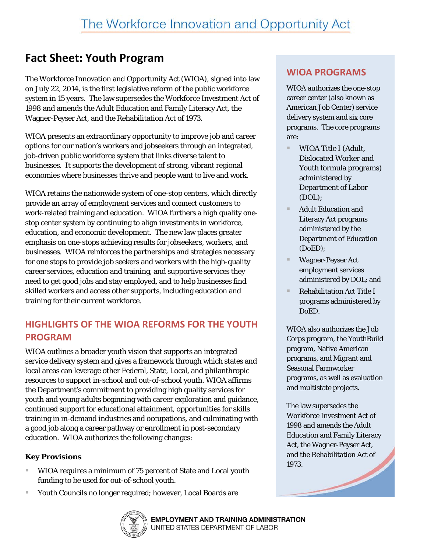# **Fact Sheet: Youth Program**

The Workforce Innovation and Opportunity Act (WIOA), signed into law on July 22, 2014, is the first legislative reform of the public workforce system in 15 years. The law supersedes the Workforce Investment Act of 1998 and amends the Adult Education and Family Literacy Act, the Wagner-Peyser Act, and the Rehabilitation Act of 1973.

WIOA presents an extraordinary opportunity to improve job and career options for our nation's workers and jobseekers through an integrated, job-driven public workforce system that links diverse talent to businesses. It supports the development of strong, vibrant regional economies where businesses thrive and people want to live and work.

WIOA retains the nationwide system of one-stop centers, which directly provide an array of employment services and connect customers to work-related training and education. WIOA furthers a high quality onestop center system by continuing to align investments in workforce, education, and economic development. The new law places greater emphasis on one-stops achieving results for jobseekers, workers, and businesses. WIOA reinforces the partnerships and strategies necessary for one stops to provide job seekers and workers with the high-quality career services, education and training, and supportive services they need to get good jobs and stay employed, and to help businesses find skilled workers and access other supports, including education and training for their current workforce.

## **HIGHLIGHTS OF THE WIOA REFORMS FOR THE YOUTH PROGRAM**

WIOA outlines a broader youth vision that supports an integrated service delivery system and gives a framework through which states and local areas can leverage other Federal, State, Local, and philanthropic resources to support in-school and out-of-school youth. WIOA affirms the Department's commitment to providing high quality services for youth and young adults beginning with career exploration and guidance, continued support for educational attainment, opportunities for skills training in in-demand industries and occupations, and culminating with a good job along a career pathway or enrollment in post-secondary education. WIOA authorizes the following changes:

#### **Key Provisions**

- WIOA requires a minimum of 75 percent of State and Local youth funding to be used for out-of-school youth.
- Youth Councils no longer required; however, Local Boards are



## **WIOA PROGRAMS**

WIOA authorizes the one-stop career center (also known as American Job Center) service delivery system and six core programs. The core programs are:

- WIOA Title I (Adult, Dislocated Worker and Youth formula programs) administered by Department of Labor (DOL);
- Adult Education and Literacy Act programs administered by the Department of Education (DoED);
- Wagner-Peyser Act employment services administered by DOL; and
- Rehabilitation Act Title I programs administered by DoED.

WIOA also authorizes the Job Corps program, the YouthBuild program, Native American programs, and Migrant and Seasonal Farmworker programs, as well as evaluation and multistate projects.

The law supersedes the Workforce Investment Act of 1998 and amends the Adult Education and Family Literacy Act, the Wagner-Peyser Act, and the Rehabilitation Act of 1973.